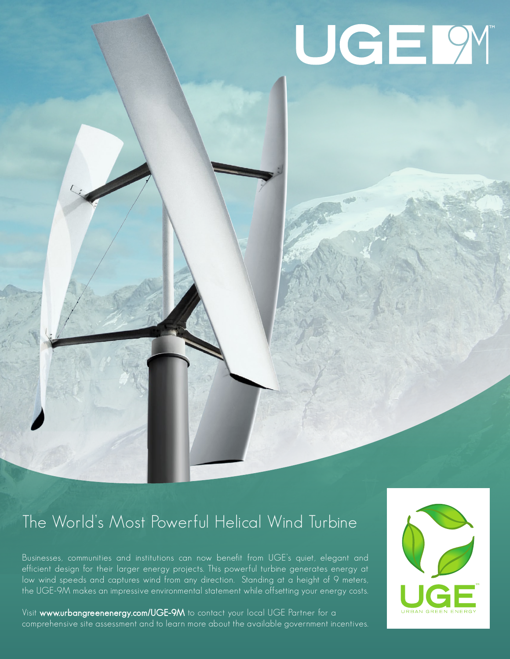# UGE 9

## The World's Most Powerful Helical Wind Turbine

Businesses, communities and institutions can now benefit from UGE's quiet, elegant and efficient design for their larger energy projects. This powerful turbine generates energy at low wind speeds and captures wind from any direction. Standing at a height of 9 meters, the UGE-9M makes an impressive environmental statement while offsetting your energy costs.

Visit www.urbangreenenergy.com/UGE-9M to contact your local UGE Partner for a comprehensive site assessment and to learn more about the available government incentives.